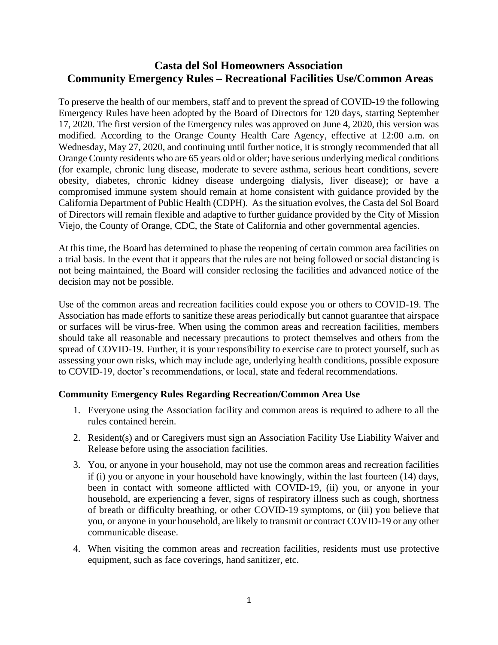## **Casta del Sol Homeowners Association Community Emergency Rules – Recreational Facilities Use/Common Areas**

To preserve the health of our members, staff and to prevent the spread of COVID-19 the following Emergency Rules have been adopted by the Board of Directors for 120 days, starting September 17, 2020. The first version of the Emergency rules was approved on June 4, 2020, this version was modified. According to the Orange County Health Care Agency, effective at 12:00 a.m. on Wednesday, May 27, 2020, and continuing until further notice, it is strongly recommended that all Orange County residents who are 65 years old or older; have serious underlying medical conditions (for example, chronic lung disease, moderate to severe asthma, serious heart conditions, severe obesity, diabetes, chronic kidney disease undergoing dialysis, liver disease); or have a compromised immune system should remain at home consistent with guidance provided by the California Department of Public Health (CDPH). As the situation evolves, the Casta del Sol Board of Directors will remain flexible and adaptive to further guidance provided by the City of Mission Viejo, the County of Orange, CDC, the State of California and other governmental agencies.

At this time, the Board has determined to phase the reopening of certain common area facilities on a trial basis. In the event that it appears that the rules are not being followed or social distancing is not being maintained, the Board will consider reclosing the facilities and advanced notice of the decision may not be possible.

Use of the common areas and recreation facilities could expose you or others to COVID-19. The Association has made efforts to sanitize these areas periodically but cannot guarantee that airspace or surfaces will be virus-free. When using the common areas and recreation facilities, members should take all reasonable and necessary precautions to protect themselves and others from the spread of COVID-19. Further, it is your responsibility to exercise care to protect yourself, such as assessing your own risks, which may include age, underlying health conditions, possible exposure to COVID-19, doctor's recommendations, or local, state and federal recommendations.

## **Community Emergency Rules Regarding Recreation/Common Area Use**

- 1. Everyone using the Association facility and common areas is required to adhere to all the rules contained herein.
- 2. Resident(s) and or Caregivers must sign an Association Facility Use Liability Waiver and Release before using the association facilities.
- 3. You, or anyone in your household, may not use the common areas and recreation facilities if (i) you or anyone in your household have knowingly, within the last fourteen (14) days, been in contact with someone afflicted with COVID-19, (ii) you, or anyone in your household, are experiencing a fever, signs of respiratory illness such as cough, shortness of breath or difficulty breathing, or other COVID-19 symptoms, or (iii) you believe that you, or anyone in your household, are likely to transmit or contract COVID-19 or any other communicable disease.
- 4. When visiting the common areas and recreation facilities, residents must use protective equipment, such as face coverings, hand sanitizer, etc.